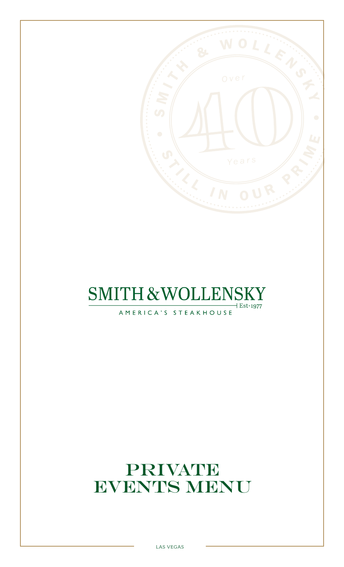

# **SMITH & WOLLENSKY**  $\overline{+}$  Est $\cdot$ 1977

AMERICA'S STEAKHOUSE

# PRIVATE EVENTS MENU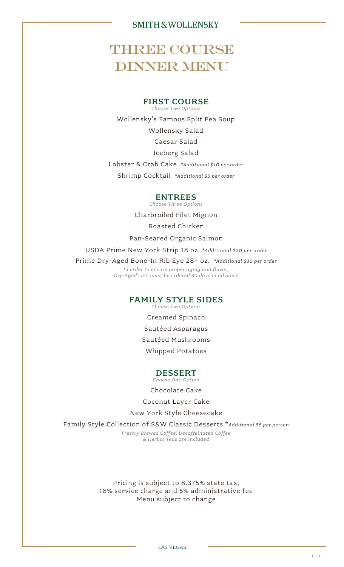# **THREE COURSE DINNER MENU**

#### FIRST COURSE *Choose Two Options*

Wollensky's Famous Split Pea Soup Wollensky Salad Caesar Salad Iceberg Salad Lobster & Crab Cake *\*Additional \$10 per order*

# Shrimp Cocktail *\*Additional \$5 per order*

#### ENTREES

*Choose Three Options*

Charbroiled Filet Mignon Roasted Chicken

Pan-Seared Organic Salmon

USDA Prime New York Strip 18 oz. *\*Additional \$20 per order*

Prime Dry-Aged Bone-In Rib Eye 28+ oz. *\*Additional \$30 per order*

*In order to ensure proper aging and flavor, Dry-Aged cuts must be ordered 30 days in advance*

#### FAMILY STYLE SIDES *Choose Two Options*

Creamed Spinach Sautéed Asparagus Sautéed Mushrooms Whipped Potatoes

### DESSERT

*Choose One Option*

Chocolate Cake

Coconut Layer Cake

New York Style Cheesecake

Family Style Collection of S&W Classic Desserts \**Additional \$5 per person*

*Freshly Brewed Coffee, Decaffeinated Coffee & Herbal Teas are included*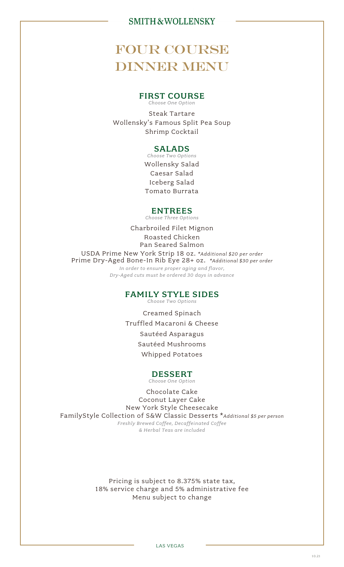# FOUR COURSE **DINNER MENU**

#### FIRST COURSE *Choose One Option*

Steak Tartare Wollensky's Famous Split Pea Soup Shrimp Cocktail

### SALADS

*Choose Two Options* Wollensky Salad Caesar Salad Iceberg Salad Tomato Burrata

### ENTREES

*Choose Three Options*

Charbroiled Filet Mignon Roasted Chicken Pan Seared Salmon USDA Prime New York Strip 18 oz. *\*Additional \$20 per order* Prime Dry-Aged Bone-In Rib Eye 28+ oz. *\*Additional \$30 per order In order to ensure proper aging and flavor, Dry-Aged cuts must be ordered 30 days in advance*

#### FAMILY STYLE SIDES

*Choose Two Options*

Creamed Spinach Truffled Macaroni & Cheese Sautéed Asparagus Sautéed Mushrooms Whipped Potatoes

#### DESSERT *Choose One Option*

Chocolate Cake Coconut Layer Cake New York Style Cheesecake FamilyStyle Collection of S&W Classic Desserts \**Additional \$5 per person Freshly Brewed Coffee, Decaffeinated Coffee & Herbal Teas are included*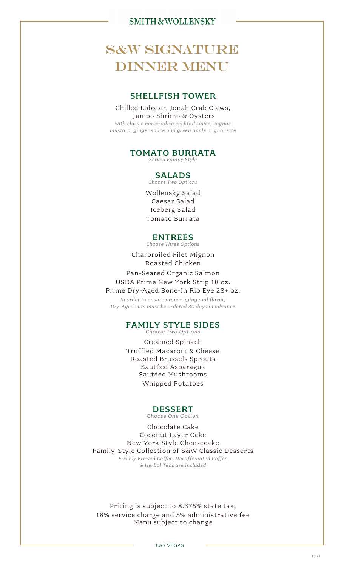# **S&W SIGNATURE DINNER MENU**

### SHELLFISH TOWER

Chilled Lobster, Jonah Crab Claws, Jumbo Shrimp & Oysters *with classic horseradish cocktail sauce, cognac*

*mustard, ginger sauce and green apple mignonette*

# TOMATO BURRATA

*Served Family Style* 

#### SALADS *Choose Two Options*

Wollensky Salad Caesar Salad Iceberg Salad Tomato Burrata

### ENTREES

*Choose Three Options*

Charbroiled Filet Mignon Roasted Chicken Pan-Seared Organic Salmon USDA Prime New York Strip 18 oz. Prime Dry-Aged Bone-In Rib Eye 28+ oz.

*In order to ensure proper aging and flavor, Dry-Aged cuts must be ordered 30 days in advance*

### FAMILY STYLE SIDES

*Choose Two Options*

Creamed Spinach Truffled Macaroni & Cheese Roasted Brussels Sprouts Sautéed Asparagus Sautéed Mushrooms Whipped Potatoes

### DESSERT

*Choose One Option*

Chocolate Cake Coconut Layer Cake New York Style Cheesecake Family-Style Collection of S&W Classic Desserts *Freshly Brewed Coffee, Decaffeinated Coffee & Herbal Teas are included*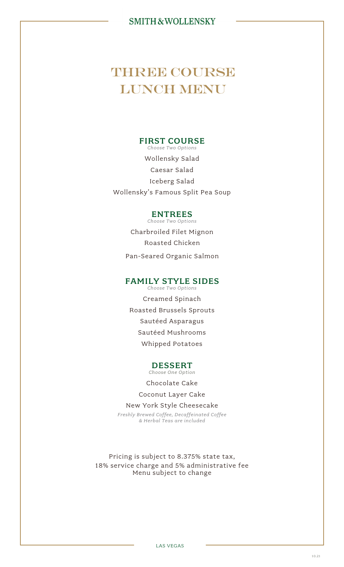# **THREE COURSE** LUNCH MENU

### FIRST COURSE

*Choose Two Options* Wollensky Salad Caesar Salad Iceberg Salad Wollensky's Famous Split Pea Soup

### ENTREES

*Choose Two Options* Charbroiled Filet Mignon Roasted Chicken Pan-Seared Organic Salmon

### FAMILY STYLE SIDES

*Choose Two Options* Creamed Spinach Roasted Brussels Sprouts Sautéed Asparagus Sautéed Mushrooms Whipped Potatoes

### DESSERT

*Choose One Option*

Chocolate Cake

Coconut Layer Cake

New York Style Cheesecake *Freshly Brewed Coffee, Decaffeinated Coffee & Herbal Teas are included*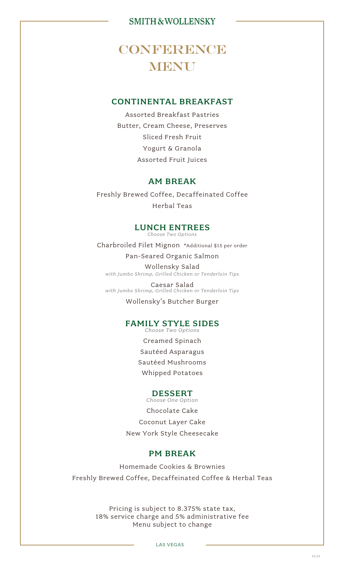# **CONFERENCE MENU**

# CONTINENTAL BREAKFAST

Assorted Breakfast Pastries Butter, Cream Cheese, Preserves Sliced Fresh Fruit Yogurt & Granola Assorted Fruit Juices

### AM BREAK

Freshly Brewed Coffee, Decaffeinated Coffee Herbal Teas

#### LUNCH ENTREES *Choose Two Options*

Charbroiled Filet Mignon \*Additional \$15 per order

Pan-Seared Organic Salmon

Wollensky Salad *with Jumbo Shrimp, Grilled Chicken or Tenderloin Tips*

Caesar Salad *with Jumbo Shrimp, Grilled Chicken or Tenderloin Tips*

Wollensky's Butcher Burger

#### FAMILY STYLE SIDES *Choose Two Options*

Creamed Spinach Sautéed Asparagus Sautéed Mushrooms Whipped Potatoes

#### DESSERT *Choose One Option*

Chocolate Cake Coconut Layer Cake New York Style Cheesecake

### PM BREAK

Homemade Cookies & Brownies Freshly Brewed Coffee, Decaffeinated Coffee & Herbal Teas

> Pricing is subject to 8.375% state tax, 18% service charge and 5% administrative fee Menu subject to change

> > LAS VEGAS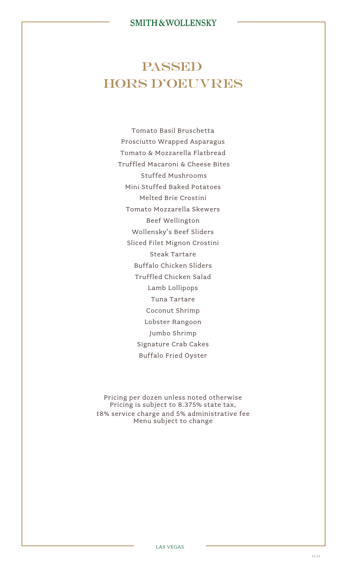# PASSED HORS D'OEUVRES

Tomato Basil Bruschetta Prosciutto Wrapped Asparagus Tomato & Mozzarella Flatbread Truffled Macaroni & Cheese Bites Stuffed Mushrooms Mini Stuffed Baked Potatoes Melted Brie Crostini Tomato Mozzarella Skewers Beef Wellington Wollensky's Beef Sliders Sliced Filet Mignon Crostini Steak Tartare Buffalo Chicken Sliders Truffled Chicken Salad Lamb Lollipops Tuna Tartare Coconut Shrimp Lobster Rangoon Jumbo Shrimp Signature Crab Cakes Buffalo Fried Oyster

Pricing per dozen unless noted otherwise Pricing is subject to 8.375% state tax, 18% service charge and 5% administrative fee Menu subject to change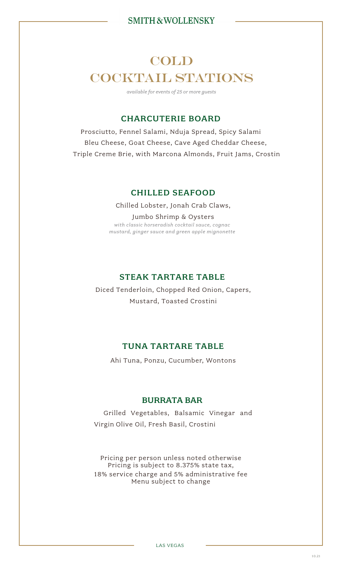# COLD COCKTAIL STATIONS

*available for events of 25 or more guests*

# CHARCUTERIE BOARD

Prosciutto, Fennel Salami, Nduja Spread, Spicy Salami Bleu Cheese, Goat Cheese, Cave Aged Cheddar Cheese, Triple Creme Brie, with Marcona Almonds, Fruit Jams, Crostin

### CHILLED SEAFOOD

Chilled Lobster, Jonah Crab Claws, Jumbo Shrimp & Oysters *with classic horseradish cocktail sauce, cognac mustard, ginger sauce and green apple mignonette*

# STEAK TARTARE TABLE

Diced Tenderloin, Chopped Red Onion, Capers, Mustard, Toasted Crostini

# TUNA TARTARE TABLE

Ahi Tuna, Ponzu, Cucumber, Wontons

# BURRATA BAR

Grilled Vegetables, Balsamic Vinegar and Virgin Olive Oil, Fresh Basil, Crostini

Pricing per person unless noted otherwise Pricing is subject to 8.375% state tax, 18% service charge and 5% administrative fee Menu subject to change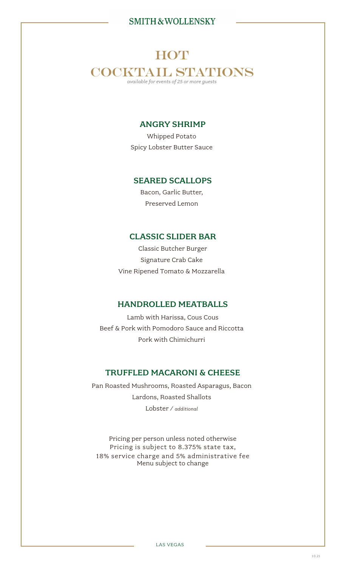# **HOT** COCKTAIL STATIONS *available for events of 25 or more guests*

# ANGRY SHRIMP

Whipped Potato Spicy Lobster Butter Sauce

### SEARED SCALLOPS

Bacon, Garlic Butter, Preserved Lemon

### CLASSIC SLIDER BAR

Classic Butcher Burger Signature Crab Cake Vine Ripened Tomato & Mozzarella

#### HANDROLLED MEATBALLS

Lamb with Harissa, Cous Cous Beef & Pork with Pomodoro Sauce and Riccotta Pork with Chimichurri

### TRUFFLED MACARONI & CHEESE

Pan Roasted Mushrooms, Roasted Asparagus, Bacon Lardons, Roasted Shallots Lobster / *additional* 

Pricing per person unless noted otherwise Pricing is subject to 8.375% state tax, 18% service charge and 5% administrative fee Menu subject to change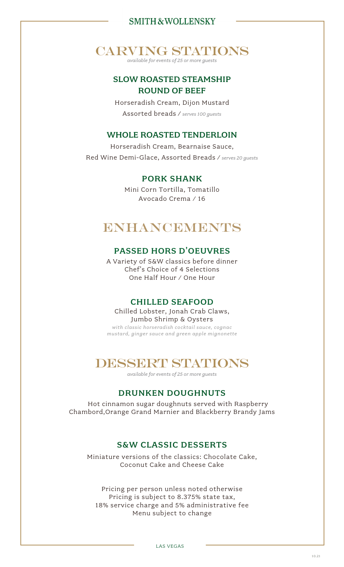# CARVING STATIONS

*available for events of 25 or more guests*

# SLOW ROASTED STEAMSHIP ROUND OF BEEF

Horseradish Cream, Dijon Mustard Assorted breads / *serves 100 guests*

### WHOLE ROASTED TENDERLOIN

Horseradish Cream, Bearnaise Sauce, Red Wine Demi-Glace, Assorted Breads / *serves 20 guests*

### PORK SHANK

Mini Corn Tortilla, Tomatillo Avocado Crema / 16

# **ENHANCEMENTS**

### PASSED HORS D'OEUVRES

A Variety of S&W classics before dinner Chef's Choice of 4 Selections One Half Hour / One Hour

### CHILLED SEAFOOD

Chilled Lobster, Jonah Crab Claws, Jumbo Shrimp & Oysters

*with classic horseradish cocktail sauce, cognac mustard, ginger sauce and green apple mignonette*

# DESSERT STATIONS

*available for events of 25 or more guests*

# DRUNKEN DOUGHNUTS

 Hot cinnamon sugar doughnuts served with Raspberry Chambord,Orange Grand Marnier and Blackberry Brandy Jams

# S&W CLASSIC DESSERTS

Miniature versions of the classics: Chocolate Cake, Coconut Cake and Cheese Cake

Pricing per person unless noted otherwise Pricing is subject to 8.375% state tax, 18% service charge and 5% administrative fee Menu subject to change